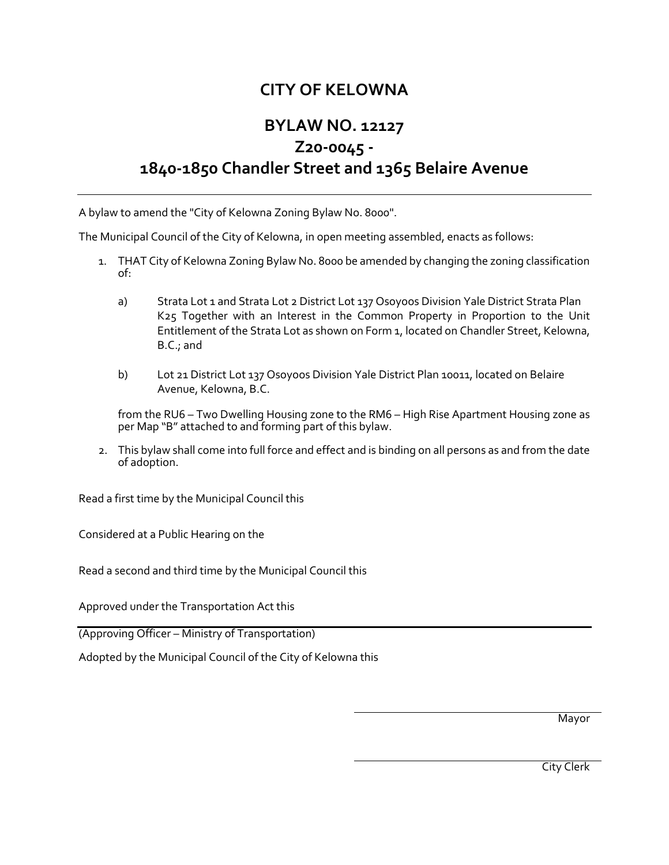## **CITY OF KELOWNA**

## **BYLAW NO. 12127 Z20-0045 - 1840-1850 Chandler Street and 1365 Belaire Avenue**

A bylaw to amend the "City of Kelowna Zoning Bylaw No. 8000".

The Municipal Council of the City of Kelowna, in open meeting assembled, enacts as follows:

- 1. THAT City of Kelowna Zoning Bylaw No. 8000 be amended by changing the zoning classification of:
	- a) Strata Lot 1 and Strata Lot 2 District Lot 137 Osoyoos Division Yale District Strata Plan K25 Together with an Interest in the Common Property in Proportion to the Unit Entitlement of the Strata Lot as shown on Form 1, located on Chandler Street, Kelowna, B.C.; and
	- b) Lot 21 District Lot 137 Osoyoos Division Yale District Plan 10011, located on Belaire Avenue, Kelowna, B.C.

from the RU6 – Two Dwelling Housing zone to the RM6 – High Rise Apartment Housing zone as per Map "B" attached to and forming part of this bylaw.

2. This bylaw shall come into full force and effect and is binding on all persons as and from the date of adoption.

Read a first time by the Municipal Council this

Considered at a Public Hearing on the

Read a second and third time by the Municipal Council this

Approved under the Transportation Act this

(Approving Officer – Ministry of Transportation)

Adopted by the Municipal Council of the City of Kelowna this

Mayor

City Clerk